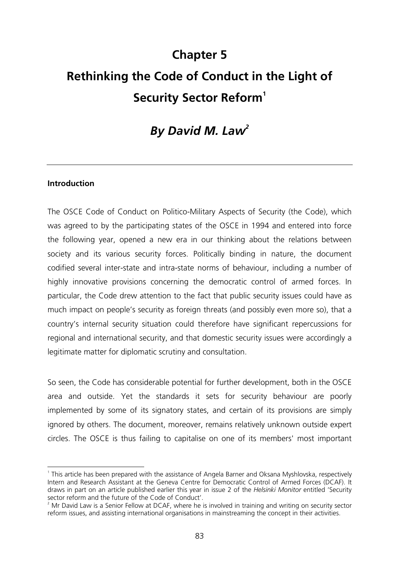# **Chapter 5 Rethinking the Code of Conduct in the Light of Security Sector Reform<sup>1</sup>**

# *By David M. Law2*

#### **Introduction**

 $\overline{a}$ 

The OSCE Code of Conduct on Politico-Military Aspects of Security (the Code), which was agreed to by the participating states of the OSCE in 1994 and entered into force the following year, opened a new era in our thinking about the relations between society and its various security forces. Politically binding in nature, the document codified several inter-state and intra-state norms of behaviour, including a number of highly innovative provisions concerning the democratic control of armed forces. In particular, the Code drew attention to the fact that public security issues could have as much impact on people's security as foreign threats (and possibly even more so), that a country's internal security situation could therefore have significant repercussions for regional and international security, and that domestic security issues were accordingly a legitimate matter for diplomatic scrutiny and consultation.

So seen, the Code has considerable potential for further development, both in the OSCE area and outside. Yet the standards it sets for security behaviour are poorly implemented by some of its signatory states, and certain of its provisions are simply ignored by others. The document, moreover, remains relatively unknown outside expert circles. The OSCE is thus failing to capitalise on one of its members' most important

<sup>&</sup>lt;sup>1</sup> This article has been prepared with the assistance of Angela Barner and Oksana Myshlovska, respectively Intern and Research Assistant at the Geneva Centre for Democratic Control of Armed Forces (DCAF). It draws in part on an article published earlier this year in issue 2 of the *Helsinki Monitor* entitled 'Security sector reform and the future of the Code of Conduct'.

 $2$  Mr David Law is a Senior Fellow at DCAF, where he is involved in training and writing on security sector reform issues, and assisting international organisations in mainstreaming the concept in their activities.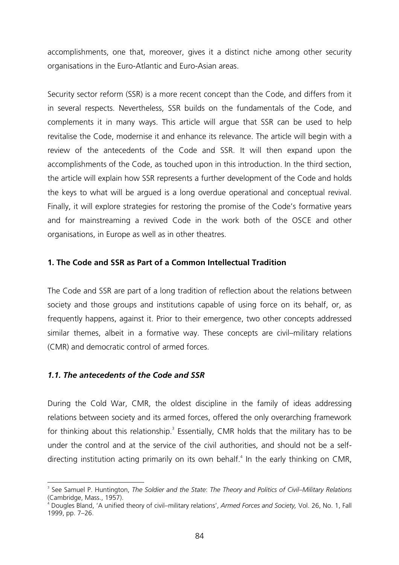accomplishments, one that, moreover, gives it a distinct niche among other security organisations in the Euro-Atlantic and Euro-Asian areas.

Security sector reform (SSR) is a more recent concept than the Code, and differs from it in several respects. Nevertheless, SSR builds on the fundamentals of the Code, and complements it in many ways. This article will argue that SSR can be used to help revitalise the Code, modernise it and enhance its relevance. The article will begin with a review of the antecedents of the Code and SSR. It will then expand upon the accomplishments of the Code, as touched upon in this introduction. In the third section, the article will explain how SSR represents a further development of the Code and holds the keys to what will be argued is a long overdue operational and conceptual revival. Finally, it will explore strategies for restoring the promise of the Code's formative years and for mainstreaming a revived Code in the work both of the OSCE and other organisations, in Europe as well as in other theatres.

#### **1. The Code and SSR as Part of a Common Intellectual Tradition**

The Code and SSR are part of a long tradition of reflection about the relations between society and those groups and institutions capable of using force on its behalf, or, as frequently happens, against it. Prior to their emergence, two other concepts addressed similar themes, albeit in a formative way. These concepts are civil–military relations (CMR) and democratic control of armed forces.

# *1.1. The antecedents of the Code and SSR*

 $\overline{a}$ 

During the Cold War, CMR, the oldest discipline in the family of ideas addressing relations between society and its armed forces, offered the only overarching framework for thinking about this relationship. $3$  Essentially, CMR holds that the military has to be under the control and at the service of the civil authorities, and should not be a selfdirecting institution acting primarily on its own behalf.<sup>4</sup> In the early thinking on CMR,

<sup>3</sup> See Samuel P. Huntington, *The Soldier and the State*: *The Theory and Politics of Civil–Military Relations*  (Cambridge, Mass., 1957).

<sup>4</sup> Dougles Bland, 'A unified theory of civil–military relations', *Armed Forces and Society,* Vol. 26, No. 1, Fall 1999, pp. 7–26.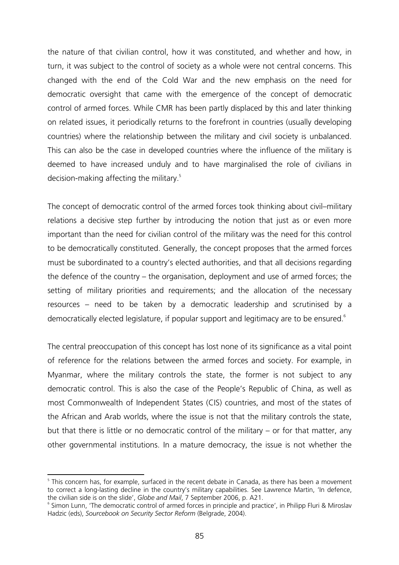the nature of that civilian control, how it was constituted, and whether and how, in turn, it was subject to the control of society as a whole were not central concerns. This changed with the end of the Cold War and the new emphasis on the need for democratic oversight that came with the emergence of the concept of democratic control of armed forces. While CMR has been partly displaced by this and later thinking on related issues, it periodically returns to the forefront in countries (usually developing countries) where the relationship between the military and civil society is unbalanced. This can also be the case in developed countries where the influence of the military is deemed to have increased unduly and to have marginalised the role of civilians in decision-making affecting the military.<sup>5</sup>

The concept of democratic control of the armed forces took thinking about civil–military relations a decisive step further by introducing the notion that just as or even more important than the need for civilian control of the military was the need for this control to be democratically constituted. Generally, the concept proposes that the armed forces must be subordinated to a country's elected authorities, and that all decisions regarding the defence of the country – the organisation, deployment and use of armed forces; the setting of military priorities and requirements; and the allocation of the necessary resources – need to be taken by a democratic leadership and scrutinised by a democratically elected legislature, if popular support and legitimacy are to be ensured. $^6$ 

The central preoccupation of this concept has lost none of its significance as a vital point of reference for the relations between the armed forces and society. For example, in Myanmar, where the military controls the state, the former is not subject to any democratic control. This is also the case of the People's Republic of China, as well as most Commonwealth of Independent States (CIS) countries, and most of the states of the African and Arab worlds, where the issue is not that the military controls the state, but that there is little or no democratic control of the military – or for that matter, any other governmental institutions. In a mature democracy, the issue is not whether the

 $\overline{a}$ <sup>5</sup> This concern has, for example, surfaced in the recent debate in Canada, as there has been a movement to correct a long-lasting decline in the country's military capabilities. See Lawrence Martin, 'In defence, the civilian side is on the slide', *Globe and Mail*, 7 September 2006, p. A21. 6

<sup>&</sup>lt;sup>6</sup> Simon Lunn, 'The democratic control of armed forces in principle and practice', in Philipp Fluri & Miroslav Hadzic (eds), *Sourcebook on Security Sector Reform* (Belgrade, 2004).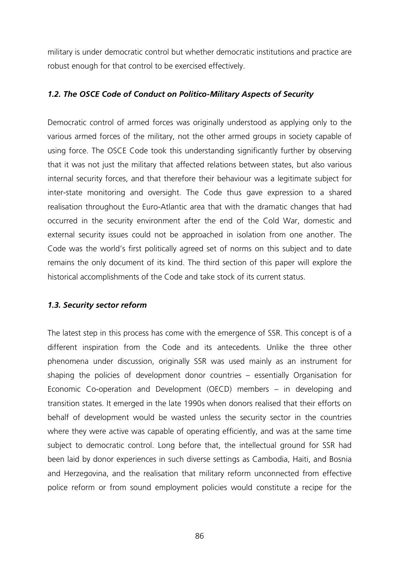military is under democratic control but whether democratic institutions and practice are robust enough for that control to be exercised effectively.

## *1.2. The OSCE Code of Conduct on Politico-Military Aspects of Security*

Democratic control of armed forces was originally understood as applying only to the various armed forces of the military, not the other armed groups in society capable of using force. The OSCE Code took this understanding significantly further by observing that it was not just the military that affected relations between states, but also various internal security forces, and that therefore their behaviour was a legitimate subject for inter-state monitoring and oversight. The Code thus gave expression to a shared realisation throughout the Euro-Atlantic area that with the dramatic changes that had occurred in the security environment after the end of the Cold War, domestic and external security issues could not be approached in isolation from one another. The Code was the world's first politically agreed set of norms on this subject and to date remains the only document of its kind. The third section of this paper will explore the historical accomplishments of the Code and take stock of its current status.

#### *1.3. Security sector reform*

The latest step in this process has come with the emergence of SSR. This concept is of a different inspiration from the Code and its antecedents. Unlike the three other phenomena under discussion, originally SSR was used mainly as an instrument for shaping the policies of development donor countries – essentially Organisation for Economic Co-operation and Development (OECD) members – in developing and transition states. It emerged in the late 1990s when donors realised that their efforts on behalf of development would be wasted unless the security sector in the countries where they were active was capable of operating efficiently, and was at the same time subject to democratic control. Long before that, the intellectual ground for SSR had been laid by donor experiences in such diverse settings as Cambodia, Haiti, and Bosnia and Herzegovina, and the realisation that military reform unconnected from effective police reform or from sound employment policies would constitute a recipe for the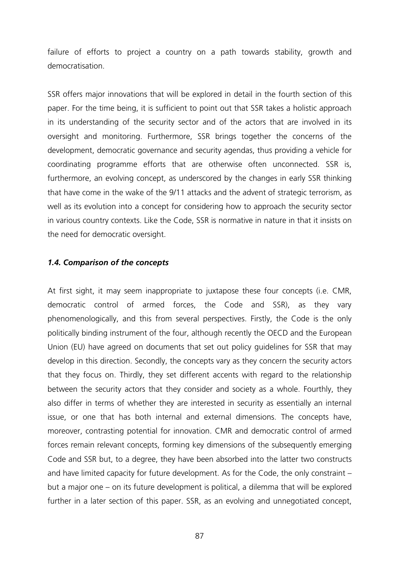failure of efforts to project a country on a path towards stability, growth and democratisation.

SSR offers major innovations that will be explored in detail in the fourth section of this paper. For the time being, it is sufficient to point out that SSR takes a holistic approach in its understanding of the security sector and of the actors that are involved in its oversight and monitoring. Furthermore, SSR brings together the concerns of the development, democratic governance and security agendas, thus providing a vehicle for coordinating programme efforts that are otherwise often unconnected. SSR is, furthermore, an evolving concept, as underscored by the changes in early SSR thinking that have come in the wake of the 9/11 attacks and the advent of strategic terrorism, as well as its evolution into a concept for considering how to approach the security sector in various country contexts. Like the Code, SSR is normative in nature in that it insists on the need for democratic oversight.

#### *1.4. Comparison of the concepts*

At first sight, it may seem inappropriate to juxtapose these four concepts (i.e. CMR, democratic control of armed forces, the Code and SSR), as they vary phenomenologically, and this from several perspectives. Firstly, the Code is the only politically binding instrument of the four, although recently the OECD and the European Union (EU) have agreed on documents that set out policy guidelines for SSR that may develop in this direction. Secondly, the concepts vary as they concern the security actors that they focus on. Thirdly, they set different accents with regard to the relationship between the security actors that they consider and society as a whole. Fourthly, they also differ in terms of whether they are interested in security as essentially an internal issue, or one that has both internal and external dimensions. The concepts have, moreover, contrasting potential for innovation. CMR and democratic control of armed forces remain relevant concepts, forming key dimensions of the subsequently emerging Code and SSR but, to a degree, they have been absorbed into the latter two constructs and have limited capacity for future development. As for the Code, the only constraint – but a major one – on its future development is political, a dilemma that will be explored further in a later section of this paper. SSR, as an evolving and unnegotiated concept,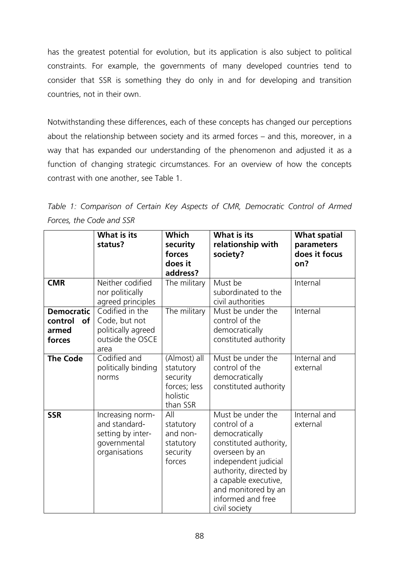has the greatest potential for evolution, but its application is also subject to political constraints. For example, the governments of many developed countries tend to consider that SSR is something they do only in and for developing and transition countries, not in their own.

Notwithstanding these differences, each of these concepts has changed our perceptions about the relationship between society and its armed forces – and this, moreover, in a way that has expanded our understanding of the phenomenon and adjusted it as a function of changing strategic circumstances. For an overview of how the concepts contrast with one another, see Table 1.

|                                                       | <b>What is its</b><br>status?                                                           | Which<br>security<br>forces<br>does it<br>address?                            | <b>What is its</b><br>relationship with<br>society?                                                                                                                                                                                    | <b>What spatial</b><br>parameters<br>does it focus<br>on? |
|-------------------------------------------------------|-----------------------------------------------------------------------------------------|-------------------------------------------------------------------------------|----------------------------------------------------------------------------------------------------------------------------------------------------------------------------------------------------------------------------------------|-----------------------------------------------------------|
| <b>CMR</b>                                            | Neither codified<br>nor politically<br>agreed principles                                | The military                                                                  | Must be<br>subordinated to the<br>civil authorities                                                                                                                                                                                    | Internal                                                  |
| <b>Democratic</b><br>control<br>of<br>armed<br>forces | Codified in the<br>Code, but not<br>politically agreed<br>outside the OSCE<br>area      | The military                                                                  | Must be under the<br>control of the<br>democratically<br>constituted authority                                                                                                                                                         | Internal                                                  |
| <b>The Code</b>                                       | Codified and<br>politically binding<br>norms                                            | (Almost) all<br>statutory<br>security<br>forces; less<br>holistic<br>than SSR | Must be under the<br>control of the<br>democratically<br>constituted authority                                                                                                                                                         | Internal and<br>external                                  |
| <b>SSR</b>                                            | Increasing norm-<br>and standard-<br>setting by inter-<br>governmental<br>organisations | All<br>statutory<br>and non-<br>statutory<br>security<br>forces               | Must be under the<br>control of a<br>democratically<br>constituted authority,<br>overseen by an<br>independent judicial<br>authority, directed by<br>a capable executive,<br>and monitored by an<br>informed and free<br>civil society | Internal and<br>external                                  |

Table 1: Comparison of Certain Key Aspects of CMR, Democratic Control of Armed *Forces, the Code and SSR*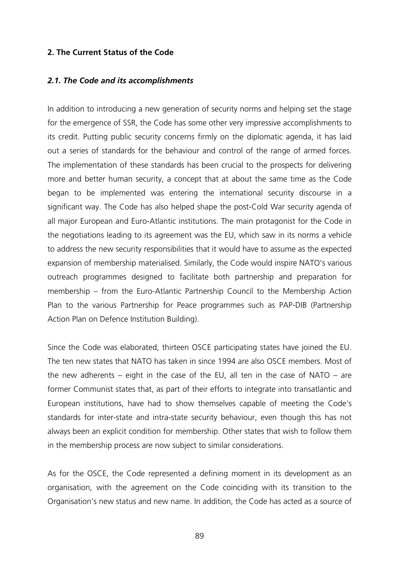#### **2. The Current Status of the Code**

#### *2.1. The Code and its accomplishments*

In addition to introducing a new generation of security norms and helping set the stage for the emergence of SSR, the Code has some other very impressive accomplishments to its credit. Putting public security concerns firmly on the diplomatic agenda, it has laid out a series of standards for the behaviour and control of the range of armed forces. The implementation of these standards has been crucial to the prospects for delivering more and better human security, a concept that at about the same time as the Code began to be implemented was entering the international security discourse in a significant way. The Code has also helped shape the post-Cold War security agenda of all major European and Euro-Atlantic institutions. The main protagonist for the Code in the negotiations leading to its agreement was the EU, which saw in its norms a vehicle to address the new security responsibilities that it would have to assume as the expected expansion of membership materialised. Similarly, the Code would inspire NATO's various outreach programmes designed to facilitate both partnership and preparation for membership – from the Euro-Atlantic Partnership Council to the Membership Action Plan to the various Partnership for Peace programmes such as PAP-DIB (Partnership Action Plan on Defence Institution Building).

Since the Code was elaborated, thirteen OSCE participating states have joined the EU. The ten new states that NATO has taken in since 1994 are also OSCE members. Most of the new adherents – eight in the case of the EU, all ten in the case of NATO – are former Communist states that, as part of their efforts to integrate into transatlantic and European institutions, have had to show themselves capable of meeting the Code's standards for inter-state and intra-state security behaviour, even though this has not always been an explicit condition for membership. Other states that wish to follow them in the membership process are now subject to similar considerations.

As for the OSCE, the Code represented a defining moment in its development as an organisation, with the agreement on the Code coinciding with its transition to the Organisation's new status and new name. In addition, the Code has acted as a source of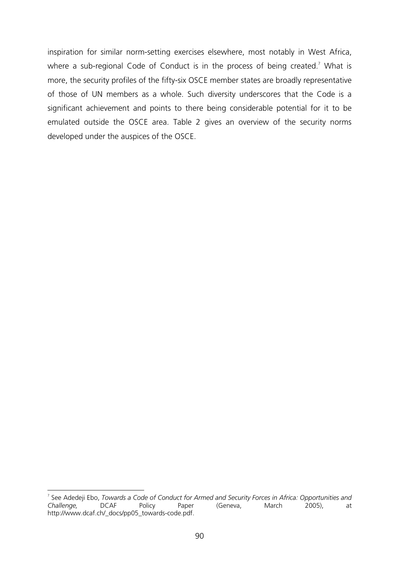inspiration for similar norm-setting exercises elsewhere, most notably in West Africa, where a sub-regional Code of Conduct is in the process of being created.<sup>7</sup> What is more, the security profiles of the fifty-six OSCE member states are broadly representative of those of UN members as a whole. Such diversity underscores that the Code is a significant achievement and points to there being considerable potential for it to be emulated outside the OSCE area. Table 2 gives an overview of the security norms developed under the auspices of the OSCE.

 $\overline{a}$ 7 See Adedeji Ebo, *Towards a Code of Conduct for Armed and Security Forces in Africa: Opportunities and Challenge,* DCAF Policy Paper (Geneva, March 2005), at http://www.dcaf.ch/\_docs/pp05\_towards-code.pdf.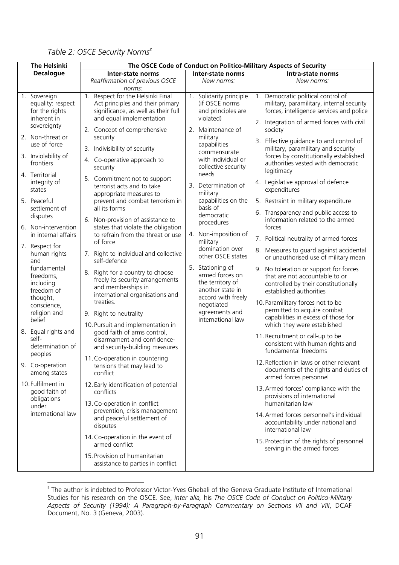| <b>The Helsinki</b> |                                                                                 | The OSCE Code of Conduct on Politico-Military Aspects of Security                                                                                             |  |                                                                              |  |                                                                                                                                                                          |  |  |
|---------------------|---------------------------------------------------------------------------------|---------------------------------------------------------------------------------------------------------------------------------------------------------------|--|------------------------------------------------------------------------------|--|--------------------------------------------------------------------------------------------------------------------------------------------------------------------------|--|--|
| <b>Decalogue</b>    |                                                                                 | Inter-state norms                                                                                                                                             |  | Inter-state norms                                                            |  | Intra-state norms                                                                                                                                                        |  |  |
|                     |                                                                                 | Reaffirmation of previous OSCE<br>norms:                                                                                                                      |  | New norms:                                                                   |  | New norms:                                                                                                                                                               |  |  |
|                     | 1. Sovereign<br>equality: respect<br>for the rights<br>inherent in              | 1. Respect for the Helsinki Final<br>Act principles and their primary<br>significance, as well as their full<br>and equal implementation                      |  | 1. Solidarity principle<br>(if OSCE norms<br>and principles are<br>violated) |  | 1. Democratic political control of<br>military, paramilitary, internal security<br>forces, intelligence services and police<br>2. Integration of armed forces with civil |  |  |
|                     | sovereignty<br>2. Non-threat or<br>use of force                                 | 2. Concept of comprehensive<br>security<br>3. Indivisibility of security                                                                                      |  | 2. Maintenance of<br>military<br>capabilities                                |  | society<br>3. Effective guidance to and control of                                                                                                                       |  |  |
|                     | 3. Inviolability of<br>frontiers                                                | 4. Co-operative approach to<br>security                                                                                                                       |  | commensurate<br>with individual or<br>collective security                    |  | military, paramilitary and security<br>forces by constitutionally established<br>authorities vested with democratic<br>legitimacy                                        |  |  |
|                     | 4. Territorial<br>integrity of<br>states                                        | 5. Commitment not to support<br>terrorist acts and to take<br>appropriate measures to                                                                         |  | needs<br>3. Determination of<br>military                                     |  | 4. Legislative approval of defence<br>expenditures                                                                                                                       |  |  |
|                     | 5. Peaceful<br>settlement of                                                    | prevent and combat terrorism in<br>all its forms                                                                                                              |  | capabilities on the<br>basis of                                              |  | 5. Restraint in military expenditure                                                                                                                                     |  |  |
|                     | disputes<br>6. Non-intervention                                                 | 6. Non-provision of assistance to<br>states that violate the obligation                                                                                       |  | democratic<br>procedures                                                     |  | 6. Transparency and public access to<br>information related to the armed<br>forces                                                                                       |  |  |
|                     | in internal affairs<br>7. Respect for                                           | to refrain from the threat or use<br>of force                                                                                                                 |  | 4. Non-imposition of<br>military                                             |  | 7. Political neutrality of armed forces                                                                                                                                  |  |  |
|                     | human rights<br>and                                                             | 7. Right to individual and collective<br>self-defence                                                                                                         |  | domination over<br>other OSCE states                                         |  | 8. Measures to guard against accidental<br>or unauthorised use of military mean                                                                                          |  |  |
|                     | fundamental<br>freedoms,<br>including<br>freedom of                             | 8. Right for a country to choose<br>freely its security arrangements<br>and memberships in<br>international organisations and                                 |  | 5. Stationing of<br>armed forces on<br>the territory of<br>another state in  |  | 9. No toleration or support for forces<br>that are not accountable to or<br>controlled by their constitutionally<br>established authorities                              |  |  |
|                     | thought,<br>conscience,<br>religion and<br>belief                               | treaties.<br>9. Right to neutrality                                                                                                                           |  | accord with freely<br>negotiated<br>agreements and<br>international law      |  | 10. Paramilitary forces not to be<br>permitted to acquire combat<br>capabilities in excess of those for                                                                  |  |  |
|                     | 8. Equal rights and<br>self-<br>determination of<br>peoples                     | 10. Pursuit and implementation in<br>good faith of arms control,<br>disarmament and confidence-<br>and security-building measures                             |  |                                                                              |  | which they were established<br>11. Recruitment or call-up to be<br>consistent with human rights and<br>fundamental freedoms                                              |  |  |
|                     | 9. Co-operation<br>among states                                                 | 11. Co-operation in countering<br>tensions that may lead to<br>conflict                                                                                       |  |                                                                              |  | 12. Reflection in laws or other relevant<br>documents of the rights and duties of<br>armed forces personnel                                                              |  |  |
|                     | 10. Fulfilment in<br>good faith of<br>obligations<br>under<br>international law | 12. Early identification of potential<br>conflicts<br>13. Co-operation in conflict<br>prevention, crisis management<br>and peaceful settlement of<br>disputes |  |                                                                              |  | 13. Armed forces' compliance with the<br>provisions of international                                                                                                     |  |  |
|                     |                                                                                 |                                                                                                                                                               |  |                                                                              |  | humanitarian law<br>14. Armed forces personnel's individual<br>accountability under national and<br>international law                                                    |  |  |
|                     |                                                                                 | 14. Co-operation in the event of<br>armed conflict                                                                                                            |  |                                                                              |  | 15. Protection of the rights of personnel<br>serving in the armed forces                                                                                                 |  |  |
|                     |                                                                                 | 15. Provision of humanitarian<br>assistance to parties in conflict                                                                                            |  |                                                                              |  |                                                                                                                                                                          |  |  |

Table 2: OSCE Security Norms<sup>8</sup>

 8 The author is indebted to Professor Victor-Yves Ghebali of the Geneva Graduate Institute of International Studies for his research on the OSCE. See, *inter alia,* his *The OSCE Code of Conduct on Politico-Military Aspects of Security (1994): A Paragraph-by-Paragraph Commentary on Sections VII and VIII*, DCAF Document, No. 3 (Geneva, 2003).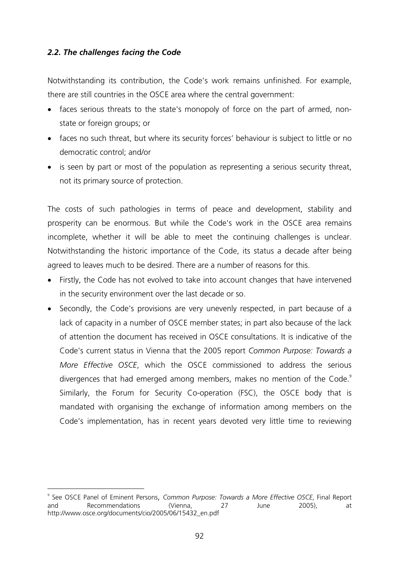# *2.2. The challenges facing the Code*

 $\overline{a}$ 

Notwithstanding its contribution, the Code's work remains unfinished. For example, there are still countries in the OSCE area where the central government:

- faces serious threats to the state's monopoly of force on the part of armed, nonstate or foreign groups; or
- faces no such threat, but where its security forces' behaviour is subject to little or no democratic control; and/or
- is seen by part or most of the population as representing a serious security threat, not its primary source of protection.

The costs of such pathologies in terms of peace and development, stability and prosperity can be enormous. But while the Code's work in the OSCE area remains incomplete, whether it will be able to meet the continuing challenges is unclear. Notwithstanding the historic importance of the Code, its status a decade after being agreed to leaves much to be desired. There are a number of reasons for this.

- ! Firstly, the Code has not evolved to take into account changes that have intervened in the security environment over the last decade or so.
- Secondly, the Code's provisions are very unevenly respected, in part because of a lack of capacity in a number of OSCE member states; in part also because of the lack of attention the document has received in OSCE consultations. It is indicative of the Code's current status in Vienna that the 2005 report *Common Purpose: Towards a More Effective OSCE*, which the OSCE commissioned to address the serious divergences that had emerged among members, makes no mention of the Code.<sup>9</sup> Similarly, the Forum for Security Co-operation (FSC), the OSCE body that is mandated with organising the exchange of information among members on the Code's implementation, has in recent years devoted very little time to reviewing

<sup>9</sup> See OSCE Panel of Eminent Persons, *Common Purpose: Towards a More Effective OSCE*, Final Report and Recommendations (Vienna, 27 June 2005), at http://www.osce.org/documents/cio/2005/06/15432\_en.pdf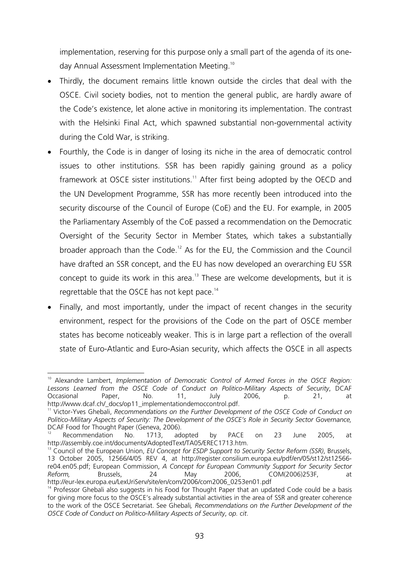implementation, reserving for this purpose only a small part of the agenda of its oneday Annual Assessment Implementation Meeting.10

- ! Thirdly, the document remains little known outside the circles that deal with the OSCE. Civil society bodies, not to mention the general public, are hardly aware of the Code's existence, let alone active in monitoring its implementation. The contrast with the Helsinki Final Act, which spawned substantial non-governmental activity during the Cold War, is striking.
- ! Fourthly, the Code is in danger of losing its niche in the area of democratic control issues to other institutions. SSR has been rapidly gaining ground as a policy framework at OSCE sister institutions.<sup>11</sup> After first being adopted by the OECD and the UN Development Programme, SSR has more recently been introduced into the security discourse of the Council of Europe (CoE) and the EU. For example, in 2005 the Parliamentary Assembly of the CoE passed a recommendation on the Democratic Oversight of the Security Sector in Member States*,* which takes a substantially broader approach than the Code.<sup>12</sup> As for the EU, the Commission and the Council have drafted an SSR concept, and the EU has now developed an overarching EU SSR concept to quide its work in this area.<sup>13</sup> These are welcome developments, but it is regrettable that the OSCE has not kept pace.<sup>14</sup>
- Finally, and most importantly, under the impact of recent changes in the security environment, respect for the provisions of the Code on the part of OSCE member states has become noticeably weaker. This is in large part a reflection of the overall state of Euro-Atlantic and Euro-Asian security, which affects the OSCE in all aspects

 $\overline{a}$ <sup>10</sup> Alexandre Lambert, *Implementation of Democratic Control of Armed Forces in the OSCE Region: Lessons Learned from the OSCE Code of Conduct on Politico-Military Aspects of Security*, DCAF Occasional Paper, No. 11, July 2006, p. 21, at

http://www.dcaf.ch/\_docs/op11\_implementationdemoccontrol.pdf.<br><sup>11</sup> Victor-Yves Ghebali, *Recommendations on the Further Development of the OSCE Code of Conduct on Politico-Military Aspects of Security: The Development of the OSCE's Role in Security Sector Governance,*  DCAF Food for Thought Paper (Geneva, 2006).<br><sup>12</sup> Recommendation No. 1713, adopted by PACE on 23 June 2005, at

http://assembly.coe.int/documents/AdoptedText/TA05/EREC1713.htm.<br><sup>13</sup> Council of the European Union, *EU Concept for ESDP Support to Security Sector Reform (SSR)*, Brussels,

<sup>13</sup> October 2005, 12566/4/05 REV 4, at http://register.consilium.europa.eu/pdf/en/05/st12/st12566 re04.en05.pdf; European Commission, *A Concept for European Community Support for Security Sector Reform,* Brussels, 24 May 2006, COM(2006)253F,<br>http://eur-lex.europa.eu/LexUriServ/site/en/com/2006/com2006 0253en01.pdf

 $14$  Professor Ghebali also suggests in his Food for Thought Paper that an updated Code could be a basis for giving more focus to the OSCE's already substantial activities in the area of SSR and greater coherence to the work of the OSCE Secretariat. See Ghebali*, Recommendations on the Further Development of the OSCE Code of Conduct on Politico-Military Aspects of Security*, *op. cit*.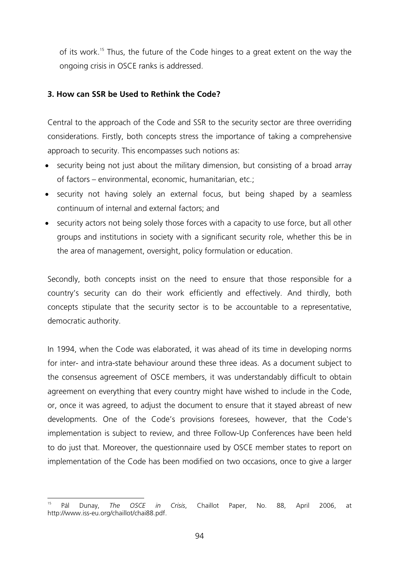of its work.15 Thus, the future of the Code hinges to a great extent on the way the ongoing crisis in OSCE ranks is addressed.

# **3. How can SSR be Used to Rethink the Code?**

Central to the approach of the Code and SSR to the security sector are three overriding considerations. Firstly, both concepts stress the importance of taking a comprehensive approach to security. This encompasses such notions as:

- security being not just about the military dimension, but consisting of a broad array of factors – environmental, economic, humanitarian, etc.;
- security not having solely an external focus, but being shaped by a seamless continuum of internal and external factors; and
- security actors not being solely those forces with a capacity to use force, but all other groups and institutions in society with a significant security role, whether this be in the area of management, oversight, policy formulation or education.

Secondly, both concepts insist on the need to ensure that those responsible for a country's security can do their work efficiently and effectively. And thirdly, both concepts stipulate that the security sector is to be accountable to a representative, democratic authority.

In 1994, when the Code was elaborated, it was ahead of its time in developing norms for inter- and intra-state behaviour around these three ideas. As a document subject to the consensus agreement of OSCE members, it was understandably difficult to obtain agreement on everything that every country might have wished to include in the Code, or, once it was agreed, to adjust the document to ensure that it stayed abreast of new developments. One of the Code's provisions foresees, however, that the Code's implementation is subject to review, and three Follow-Up Conferences have been held to do just that. Moreover, the questionnaire used by OSCE member states to report on implementation of the Code has been modified on two occasions, once to give a larger

 $\overline{a}$ 15 Pál Dunay, *The OSCE in Crisis*, Chaillot Paper, No. 88, April 2006, at http://www.iss-eu.org/chaillot/chai88.pdf.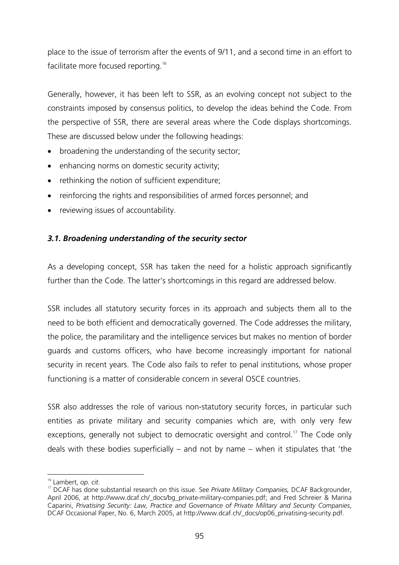place to the issue of terrorism after the events of 9/11, and a second time in an effort to facilitate more focused reporting.<sup>16</sup>

Generally, however, it has been left to SSR, as an evolving concept not subject to the constraints imposed by consensus politics, to develop the ideas behind the Code. From the perspective of SSR, there are several areas where the Code displays shortcomings. These are discussed below under the following headings:

- ! broadening the understanding of the security sector;
- enhancing norms on domestic security activity;
- rethinking the notion of sufficient expenditure;
- ! reinforcing the rights and responsibilities of armed forces personnel; and
- reviewing issues of accountability.

# *3.1. Broadening understanding of the security sector*

As a developing concept, SSR has taken the need for a holistic approach significantly further than the Code. The latter's shortcomings in this regard are addressed below.

SSR includes all statutory security forces in its approach and subjects them all to the need to be both efficient and democratically governed. The Code addresses the military, the police, the paramilitary and the intelligence services but makes no mention of border guards and customs officers, who have become increasingly important for national security in recent years. The Code also fails to refer to penal institutions, whose proper functioning is a matter of considerable concern in several OSCE countries.

SSR also addresses the role of various non-statutory security forces, in particular such entities as private military and security companies which are, with only very few exceptions, generally not subject to democratic oversight and control.<sup>17</sup> The Code only deals with these bodies superficially – and not by name – when it stipulates that 'the

 $\overline{a}$ 

<sup>&</sup>lt;sup>16</sup> Lambert, *op. cit.*<br><sup>17</sup> DCAF has done substantial research on this issue. See *Private Military Companies, DCAF Backgrounder,* April 2006, at http://www.dcaf.ch/\_docs/bg\_private-military-companies.pdf; and Fred Schreier & Marina Caparini, *Privatising Security: Law, Practice and Governance of Private Military and Security Companies*, DCAF Occasional Paper, No. 6, March 2005, at http://www.dcaf.ch/\_docs/op06\_privatising-security.pdf.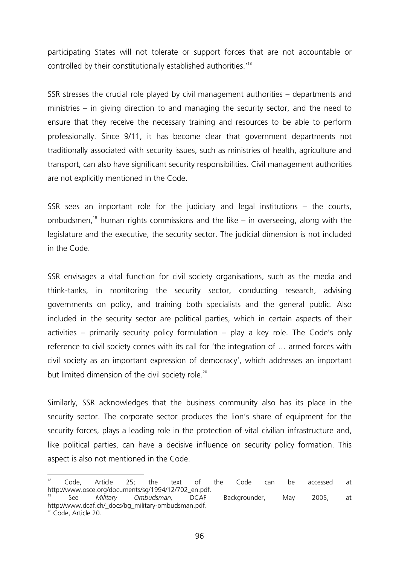participating States will not tolerate or support forces that are not accountable or controlled by their constitutionally established authorities.'18

SSR stresses the crucial role played by civil management authorities – departments and ministries – in giving direction to and managing the security sector, and the need to ensure that they receive the necessary training and resources to be able to perform professionally. Since 9/11, it has become clear that government departments not traditionally associated with security issues, such as ministries of health, agriculture and transport, can also have significant security responsibilities. Civil management authorities are not explicitly mentioned in the Code.

SSR sees an important role for the judiciary and legal institutions – the courts, ombudsmen,<sup>19</sup> human rights commissions and the like – in overseeing, along with the legislature and the executive, the security sector. The judicial dimension is not included in the Code.

SSR envisages a vital function for civil society organisations, such as the media and think-tanks, in monitoring the security sector, conducting research, advising governments on policy, and training both specialists and the general public. Also included in the security sector are political parties, which in certain aspects of their activities – primarily security policy formulation – play a key role. The Code's only reference to civil society comes with its call for 'the integration of … armed forces with civil society as an important expression of democracy', which addresses an important but limited dimension of the civil society role.<sup>20</sup>

Similarly, SSR acknowledges that the business community also has its place in the security sector. The corporate sector produces the lion's share of equipment for the security forces, plays a leading role in the protection of vital civilian infrastructure and, like political parties, can have a decisive influence on security policy formation. This aspect is also not mentioned in the Code.

<sup>18</sup> <sup>18</sup> Code, Article 25; the text of the Code can be accessed at http://www.osce.org/documents/sg/1994/12/702\_en.pdf. 19 See *Military Ombudsman,* DCAF Backgrounder, May 2005, at

http://www.dcaf.ch/\_docs/bg\_military-ombudsman.pdf. <sup>20</sup> Code, Article 20.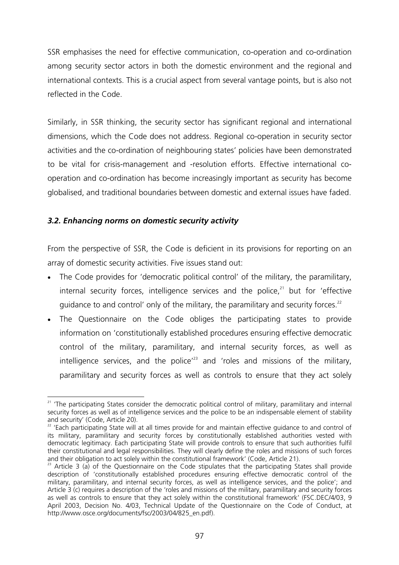SSR emphasises the need for effective communication, co-operation and co-ordination among security sector actors in both the domestic environment and the regional and international contexts. This is a crucial aspect from several vantage points, but is also not reflected in the Code.

Similarly, in SSR thinking, the security sector has significant regional and international dimensions, which the Code does not address. Regional co-operation in security sector activities and the co-ordination of neighbouring states' policies have been demonstrated to be vital for crisis-management and -resolution efforts. Effective international cooperation and co-ordination has become increasingly important as security has become globalised, and traditional boundaries between domestic and external issues have faded.

# *3.2. Enhancing norms on domestic security activity*

From the perspective of SSR, the Code is deficient in its provisions for reporting on an array of domestic security activities. Five issues stand out:

- ! The Code provides for 'democratic political control' of the military, the paramilitary, internal security forces, intelligence services and the police, $21$  but for 'effective guidance to and control' only of the military, the paramilitary and security forces.<sup>22</sup>
- ! The Questionnaire on the Code obliges the participating states to provide information on 'constitutionally established procedures ensuring effective democratic control of the military, paramilitary, and internal security forces, as well as intelligence services, and the police<sup> $23$ </sup> and 'roles and missions of the military, paramilitary and security forces as well as controls to ensure that they act solely

 $\overline{a}$ <sup>21</sup> 'The participating States consider the democratic political control of military, paramilitary and internal security forces as well as of intelligence services and the police to be an indispensable element of stability and security' (Code, Article 20).

<sup>&</sup>lt;sup>22</sup> 'Each participating State will at all times provide for and maintain effective guidance to and control of its military, paramilitary and security forces by constitutionally established authorities vested with democratic legitimacy. Each participating State will provide controls to ensure that such authorities fulfil their constitutional and legal responsibilities. They will clearly define the roles and missions of such forces and their obligation to act solely within the constitutional framework' (Code, Article 21).

<sup>&</sup>lt;sup>23</sup> Article 3 (a) of the Questionnaire on the Code stipulates that the participating States shall provide description of 'constitutionally established procedures ensuring effective democratic control of the military, paramilitary, and internal security forces, as well as intelligence services, and the police'; and Article 3 (c) requires a description of the 'roles and missions of the military, paramilitary and security forces as well as controls to ensure that they act solely within the constitutional framework' (FSC.DEC/4/03, 9 April 2003, Decision No. 4/03, Technical Update of the Questionnaire on the Code of Conduct, at http://www.osce.org/documents/fsc/2003/04/825\_en.pdf).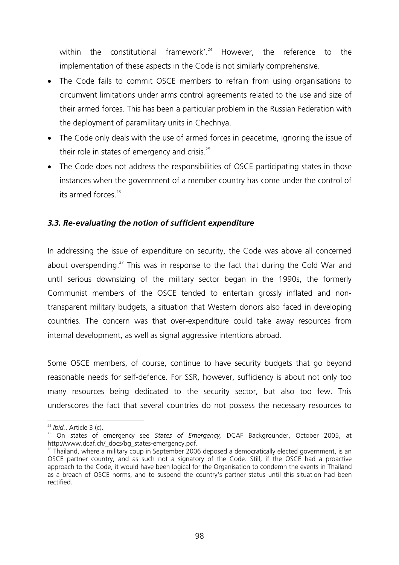within the constitutional framework'.<sup>24</sup> However, the reference to the implementation of these aspects in the Code is not similarly comprehensive.

- ! The Code fails to commit OSCE members to refrain from using organisations to circumvent limitations under arms control agreements related to the use and size of their armed forces. This has been a particular problem in the Russian Federation with the deployment of paramilitary units in Chechnya.
- The Code only deals with the use of armed forces in peacetime, ignoring the issue of their role in states of emergency and crisis. $25$
- ! The Code does not address the responsibilities of OSCE participating states in those instances when the government of a member country has come under the control of its armed forces $26$

# *3.3. Re-evaluating the notion of sufficient expenditure*

In addressing the issue of expenditure on security, the Code was above all concerned about overspending.<sup>27</sup> This was in response to the fact that during the Cold War and until serious downsizing of the military sector began in the 1990s, the formerly Communist members of the OSCE tended to entertain grossly inflated and nontransparent military budgets, a situation that Western donors also faced in developing countries. The concern was that over-expenditure could take away resources from internal development, as well as signal aggressive intentions abroad.

Some OSCE members, of course, continue to have security budgets that go beyond reasonable needs for self-defence. For SSR, however, sufficiency is about not only too many resources being dedicated to the security sector, but also too few. This underscores the fact that several countries do not possess the necessary resources to

 $24$  Ibid., Article 3 (c).

<sup>&</sup>lt;sup>25</sup> On states of emergency see *States of Emergency*, DCAF Backgrounder, October 2005, at http://www.dcaf.ch/\_docs/bg\_states-emergency.pdf.<br><sup>26</sup> Thailand, where a military coup in September 2006 deposed a democratically elected government, is an

OSCE partner country, and as such not a signatory of the Code. Still, if the OSCE had a proactive approach to the Code, it would have been logical for the Organisation to condemn the events in Thailand as a breach of OSCE norms, and to suspend the country's partner status until this situation had been rectified.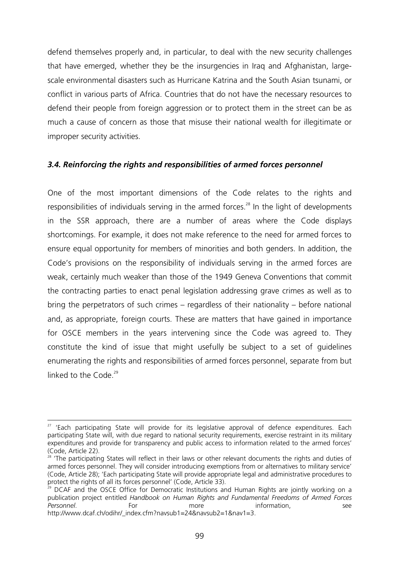defend themselves properly and, in particular, to deal with the new security challenges that have emerged, whether they be the insurgencies in Iraq and Afghanistan, largescale environmental disasters such as Hurricane Katrina and the South Asian tsunami, or conflict in various parts of Africa. Countries that do not have the necessary resources to defend their people from foreign aggression or to protect them in the street can be as much a cause of concern as those that misuse their national wealth for illegitimate or improper security activities.

### *3.4. Reinforcing the rights and responsibilities of armed forces personnel*

One of the most important dimensions of the Code relates to the rights and responsibilities of individuals serving in the armed forces.<sup>28</sup> In the light of developments in the SSR approach, there are a number of areas where the Code displays shortcomings. For example, it does not make reference to the need for armed forces to ensure equal opportunity for members of minorities and both genders. In addition, the Code's provisions on the responsibility of individuals serving in the armed forces are weak, certainly much weaker than those of the 1949 Geneva Conventions that commit the contracting parties to enact penal legislation addressing grave crimes as well as to bring the perpetrators of such crimes – regardless of their nationality – before national and, as appropriate, foreign courts. These are matters that have gained in importance for OSCE members in the years intervening since the Code was agreed to. They constitute the kind of issue that might usefully be subject to a set of guidelines enumerating the rights and responsibilities of armed forces personnel, separate from but linked to the Code<sup>29</sup>

 $\overline{a}$  $27$  'Each participating State will provide for its legislative approval of defence expenditures. Each participating State will, with due regard to national security requirements, exercise restraint in its military expenditures and provide for transparency and public access to information related to the armed forces' (Code, Article 22).

 $28$  'The participating States will reflect in their laws or other relevant documents the rights and duties of armed forces personnel. They will consider introducing exemptions from or alternatives to military service' (Code, Article 28); 'Each participating State will provide appropriate legal and administrative procedures to protect the rights of all its forces personnel' (Code, Article 33).

DCAF and the OSCE Office for Democratic Institutions and Human Rights are jointly working on a publication project entitled *Handbook on Human Rights and Fundamental Freedoms of Armed Forces*  **Personnel.** For For more information, see http://www.dcaf.ch/odihr/\_index.cfm?navsub1=24&navsub2=1&nav1=3.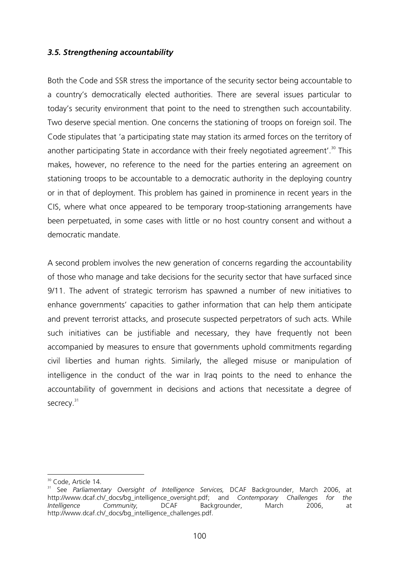# *3.5. Strengthening accountability*

Both the Code and SSR stress the importance of the security sector being accountable to a country's democratically elected authorities. There are several issues particular to today's security environment that point to the need to strengthen such accountability. Two deserve special mention. One concerns the stationing of troops on foreign soil. The Code stipulates that 'a participating state may station its armed forces on the territory of another participating State in accordance with their freely negotiated agreement'.<sup>30</sup> This makes, however, no reference to the need for the parties entering an agreement on stationing troops to be accountable to a democratic authority in the deploying country or in that of deployment. This problem has gained in prominence in recent years in the CIS, where what once appeared to be temporary troop-stationing arrangements have been perpetuated, in some cases with little or no host country consent and without a democratic mandate.

A second problem involves the new generation of concerns regarding the accountability of those who manage and take decisions for the security sector that have surfaced since 9/11. The advent of strategic terrorism has spawned a number of new initiatives to enhance governments' capacities to gather information that can help them anticipate and prevent terrorist attacks, and prosecute suspected perpetrators of such acts. While such initiatives can be justifiable and necessary, they have frequently not been accompanied by measures to ensure that governments uphold commitments regarding civil liberties and human rights. Similarly, the alleged misuse or manipulation of intelligence in the conduct of the war in Iraq points to the need to enhance the accountability of government in decisions and actions that necessitate a degree of secrecy.<sup>31</sup>

 $\overline{a}$ <sup>30</sup> Code, Article 14.

<sup>31</sup> See *Parliamentary Oversight of Intelligence Services,* DCAF Backgrounder, March 2006, at http://www.dcaf.ch/\_docs/bg\_intelligence\_oversight.pdf; and *Contemporary Challenges for the Intelligence Community,* DCAF Backgrounder, March 2006, at http://www.dcaf.ch/\_docs/bg\_intelligence\_challenges.pdf.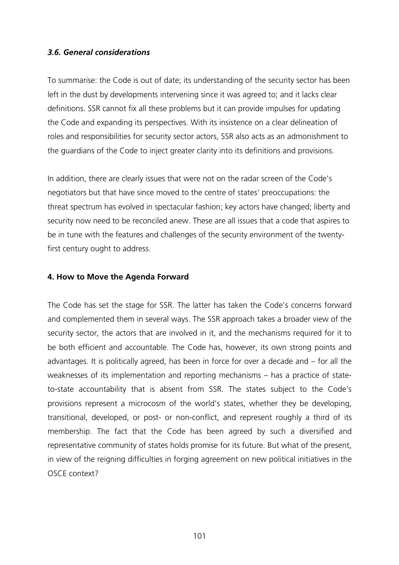### *3.6. General considerations*

To summarise: the Code is out of date; its understanding of the security sector has been left in the dust by developments intervening since it was agreed to; and it lacks clear definitions. SSR cannot fix all these problems but it can provide impulses for updating the Code and expanding its perspectives. With its insistence on a clear delineation of roles and responsibilities for security sector actors, SSR also acts as an admonishment to the guardians of the Code to inject greater clarity into its definitions and provisions.

In addition, there are clearly issues that were not on the radar screen of the Code's negotiators but that have since moved to the centre of states' preoccupations: the threat spectrum has evolved in spectacular fashion; key actors have changed; liberty and security now need to be reconciled anew. These are all issues that a code that aspires to be in tune with the features and challenges of the security environment of the twentyfirst century ought to address.

#### **4. How to Move the Agenda Forward**

The Code has set the stage for SSR. The latter has taken the Code's concerns forward and complemented them in several ways. The SSR approach takes a broader view of the security sector, the actors that are involved in it, and the mechanisms required for it to be both efficient and accountable. The Code has, however, its own strong points and advantages. It is politically agreed, has been in force for over a decade and – for all the weaknesses of its implementation and reporting mechanisms – has a practice of stateto-state accountability that is absent from SSR. The states subject to the Code's provisions represent a microcosm of the world's states, whether they be developing, transitional, developed, or post- or non-conflict, and represent roughly a third of its membership. The fact that the Code has been agreed by such a diversified and representative community of states holds promise for its future. But what of the present, in view of the reigning difficulties in forging agreement on new political initiatives in the OSCE context?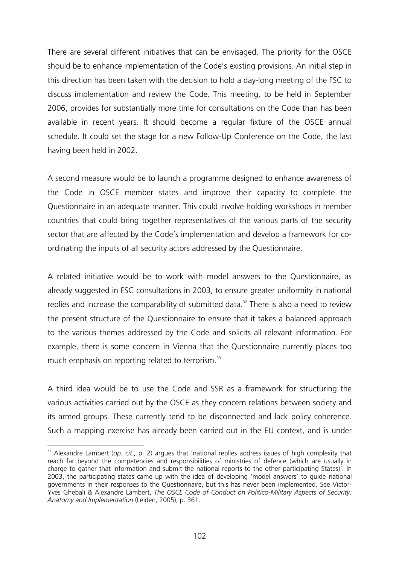There are several different initiatives that can be envisaged. The priority for the OSCE should be to enhance implementation of the Code's existing provisions. An initial step in this direction has been taken with the decision to hold a day-long meeting of the FSC to discuss implementation and review the Code. This meeting, to be held in September 2006, provides for substantially more time for consultations on the Code than has been available in recent years. It should become a regular fixture of the OSCE annual schedule. It could set the stage for a new Follow-Up Conference on the Code, the last having been held in 2002.

A second measure would be to launch a programme designed to enhance awareness of the Code in OSCE member states and improve their capacity to complete the Questionnaire in an adequate manner. This could involve holding workshops in member countries that could bring together representatives of the various parts of the security sector that are affected by the Code's implementation and develop a framework for coordinating the inputs of all security actors addressed by the Questionnaire.

A related initiative would be to work with model answers to the Questionnaire, as already suggested in FSC consultations in 2003, to ensure greater uniformity in national replies and increase the comparability of submitted data.<sup>32</sup> There is also a need to review the present structure of the Questionnaire to ensure that it takes a balanced approach to the various themes addressed by the Code and solicits all relevant information. For example, there is some concern in Vienna that the Questionnaire currently places too much emphasis on reporting related to terrorism.<sup>33</sup>

A third idea would be to use the Code and SSR as a framework for structuring the various activities carried out by the OSCE as they concern relations between society and its armed groups. These currently tend to be disconnected and lack policy coherence. Such a mapping exercise has already been carried out in the EU context, and is under

 $\overline{a}$ 

<sup>&</sup>lt;sup>32</sup> Alexandre Lambert (*op. cit.*, p. 2) argues that 'national replies address issues of high complexity that reach far beyond the competencies and responsibilities of ministries of defence (which are usually in charge to gather that information and submit the national reports to the other participating States)'. In 2003, the participating states came up with the idea of developing 'model answers' to guide national governments in their responses to the Questionnaire, but this has never been implemented. See Victor-Yves Ghebali & Alexandre Lambert, *The OSCE Code of Conduct on Politico-Military Aspects of Security: Anatomy and Implementation* (Leiden, 2005), p. 361.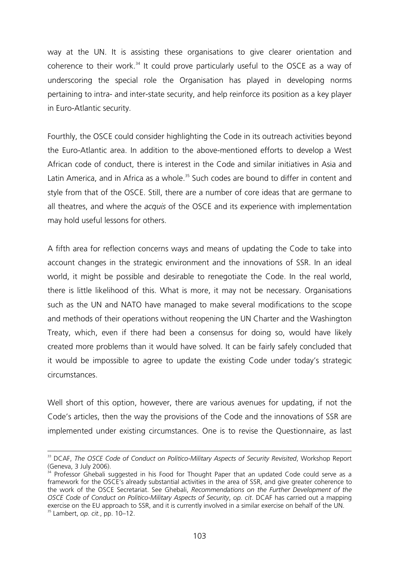way at the UN. It is assisting these organisations to give clearer orientation and coherence to their work.<sup>34</sup> It could prove particularly useful to the OSCE as a way of underscoring the special role the Organisation has played in developing norms pertaining to intra- and inter-state security, and help reinforce its position as a key player in Euro-Atlantic security.

Fourthly, the OSCE could consider highlighting the Code in its outreach activities beyond the Euro-Atlantic area. In addition to the above-mentioned efforts to develop a West African code of conduct, there is interest in the Code and similar initiatives in Asia and Latin America, and in Africa as a whole.<sup>35</sup> Such codes are bound to differ in content and style from that of the OSCE. Still, there are a number of core ideas that are germane to all theatres, and where the *acquis* of the OSCE and its experience with implementation may hold useful lessons for others.

A fifth area for reflection concerns ways and means of updating the Code to take into account changes in the strategic environment and the innovations of SSR. In an ideal world, it might be possible and desirable to renegotiate the Code. In the real world, there is little likelihood of this. What is more, it may not be necessary. Organisations such as the UN and NATO have managed to make several modifications to the scope and methods of their operations without reopening the UN Charter and the Washington Treaty, which, even if there had been a consensus for doing so, would have likely created more problems than it would have solved. It can be fairly safely concluded that it would be impossible to agree to update the existing Code under today's strategic circumstances.

Well short of this option, however, there are various avenues for updating, if not the Code's articles, then the way the provisions of the Code and the innovations of SSR are implemented under existing circumstances. One is to revise the Questionnaire, as last

 $\overline{a}$ 

<sup>&</sup>lt;sup>33</sup> DCAF, *The OSCE Code of Conduct on Politico-Military Aspects of Security Revisited*, Workshop Report (Geneva, 3 July 2006).

 $34$  Professor Ghebali suggested in his Food for Thought Paper that an updated Code could serve as a framework for the OSCE's already substantial activities in the area of SSR, and give greater coherence to the work of the OSCE Secretariat. See Ghebali, *Recommendations on the Further Development of the OSCE Code of Conduct on Politico-Military Aspects of Security*, *op. cit*. DCAF has carried out a mapping exercise on the EU approach to SSR, and it is currently involved in a similar exercise on behalf of the UN.<br><sup>35</sup> Lambert, *op. cit.*, pp. 10–12.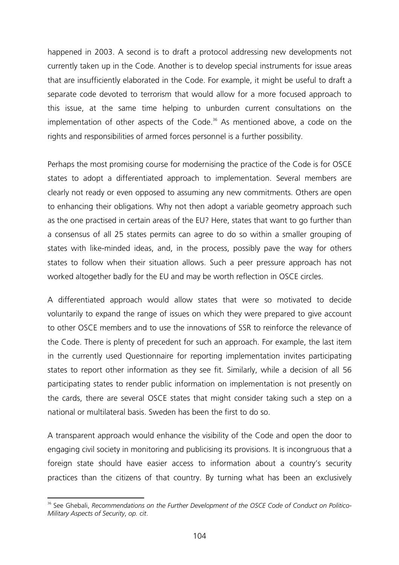happened in 2003. A second is to draft a protocol addressing new developments not currently taken up in the Code. Another is to develop special instruments for issue areas that are insufficiently elaborated in the Code. For example, it might be useful to draft a separate code devoted to terrorism that would allow for a more focused approach to this issue, at the same time helping to unburden current consultations on the implementation of other aspects of the Code.<sup>36</sup> As mentioned above, a code on the rights and responsibilities of armed forces personnel is a further possibility.

Perhaps the most promising course for modernising the practice of the Code is for OSCE states to adopt a differentiated approach to implementation. Several members are clearly not ready or even opposed to assuming any new commitments. Others are open to enhancing their obligations. Why not then adopt a variable geometry approach such as the one practised in certain areas of the EU? Here, states that want to go further than a consensus of all 25 states permits can agree to do so within a smaller grouping of states with like-minded ideas, and, in the process, possibly pave the way for others states to follow when their situation allows. Such a peer pressure approach has not worked altogether badly for the EU and may be worth reflection in OSCE circles.

A differentiated approach would allow states that were so motivated to decide voluntarily to expand the range of issues on which they were prepared to give account to other OSCE members and to use the innovations of SSR to reinforce the relevance of the Code. There is plenty of precedent for such an approach. For example, the last item in the currently used Questionnaire for reporting implementation invites participating states to report other information as they see fit. Similarly, while a decision of all 56 participating states to render public information on implementation is not presently on the cards, there are several OSCE states that might consider taking such a step on a national or multilateral basis. Sweden has been the first to do so.

A transparent approach would enhance the visibility of the Code and open the door to engaging civil society in monitoring and publicising its provisions. It is incongruous that a foreign state should have easier access to information about a country's security practices than the citizens of that country. By turning what has been an exclusively

 $\overline{a}$ <sup>36</sup> See Ghebali, Recommendations on the Further Development of the OSCE Code of Conduct on Politico-*Military Aspects of Security*, *op. cit*.